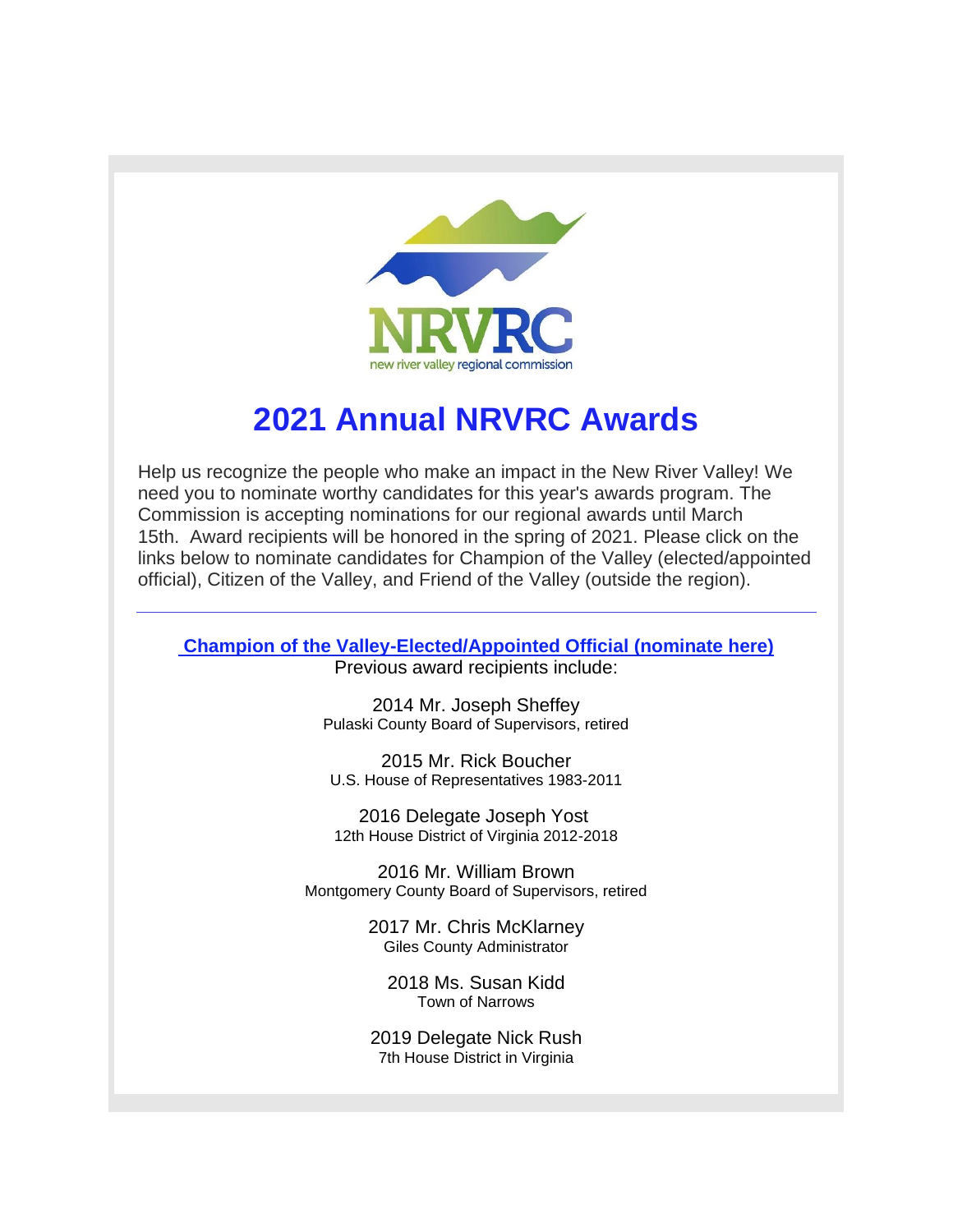

## **2021 Annual NRVRC Awards**

Help us recognize the people who make an impact in the New River Valley! We need you to nominate worthy candidates for this year's awards program. The Commission is accepting nominations for our regional awards until March 15th. Award recipients will be honored in the spring of 2021. Please click on the links below to nominate candidates for Champion of the Valley (elected/appointed official), Citizen of the Valley, and Friend of the Valley (outside the region).

**[Champion of the Valley-Elected/Appointed Official \(nominate here\)](http://r20.rs6.net/tn.jsp?f=001DNpC92DixEJuxwRZal0_958c88UgaNMQ-46GopxOQguQh3wtlOzwN_66HE9g6zn5lA9wB7WQzyAEddEObSh49ZEum-s-h9USWmO6Q_9mhLtLKhmIBcpMQuksMlXTWqG0bBvspm2dGqbHYE0x-xDTGsFEVPFe6iPNHTks2W0M7wJqqiJeKsx--n-XDJ-G8mPsd7jhDxeWX-c=&c=k_x-9_9Y-CpntLefZ1i0emgtjoEguFH5U78iaNUiWw88fY6qM6ox3g==&ch=ne7aQ5igfCel12X3Dpmbze8uXoZP6M8bzONhBVq2JokRfV_z5VDSkg==)**

Previous award recipients include:

2014 Mr. Joseph Sheffey Pulaski County Board of Supervisors, retired

2015 Mr. Rick Boucher U.S. House of Representatives 1983-2011

2016 Delegate Joseph Yost 12th House District of Virginia 2012-2018

2016 Mr. William Brown Montgomery County Board of Supervisors, retired

> 2017 Mr. Chris McKlarney Giles County Administrator

2018 Ms. Susan Kidd Town of Narrows

2019 Delegate Nick Rush 7th House District in Virginia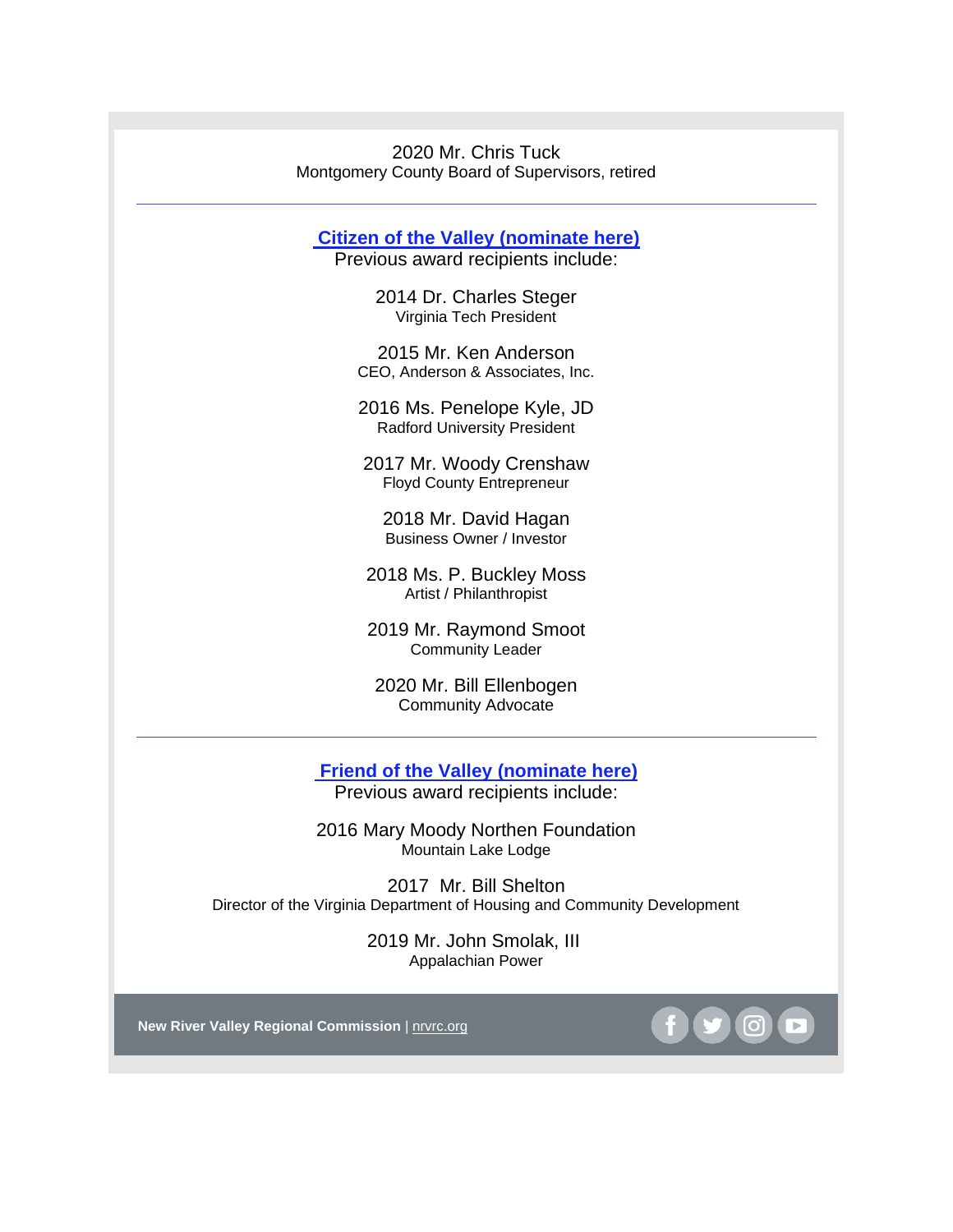2020 Mr. Chris Tuck Montgomery County Board of Supervisors, retired

**[Citizen of the Valley](http://r20.rs6.net/tn.jsp?f=001DNpC92DixEJuxwRZal0_958c88UgaNMQ-46GopxOQguQh3wtlOzwN_66HE9g6zn5u1hGcCd6Hs9QwPD7yF_vdKifhiFLq4swGgSO0G6RJos_BHdl3AJocpYO0AatxqkJ9OIlz4etLwu2sae_XSJVN9rugvzFp09CZaWxaW2OUmICLDr9p5kCVSQXpD3nrL-E&c=k_x-9_9Y-CpntLefZ1i0emgtjoEguFH5U78iaNUiWw88fY6qM6ox3g==&ch=ne7aQ5igfCel12X3Dpmbze8uXoZP6M8bzONhBVq2JokRfV_z5VDSkg==) (nominate here)**

Previous award recipients include:

2014 Dr. Charles Steger Virginia Tech President

2015 Mr. Ken Anderson CEO, Anderson & Associates, Inc.

2016 Ms. Penelope Kyle, JD Radford University President

2017 Mr. Woody Crenshaw Floyd County Entrepreneur

2018 Mr. David Hagan Business Owner / Investor

2018 Ms. P. Buckley Moss Artist / Philanthropist

2019 Mr. Raymond Smoot Community Leader

2020 Mr. Bill Ellenbogen Community Advocate

**[Friend of the Valley](http://r20.rs6.net/tn.jsp?f=001DNpC92DixEJuxwRZal0_958c88UgaNMQ-46GopxOQguQh3wtlOzwN_66HE9g6zn5MhAdWbnGyn6KC2WudD81It2VAVAiTQxa60kVW5itkLsjZ2Vr3th4s4BsytzmShMcGTebq2uFLsp0bA2dNy8DC6hewNrFMCTNmIkmilBz2Icicg0S0v9GyIr-Rj4T8YGu&c=k_x-9_9Y-CpntLefZ1i0emgtjoEguFH5U78iaNUiWw88fY6qM6ox3g==&ch=ne7aQ5igfCel12X3Dpmbze8uXoZP6M8bzONhBVq2JokRfV_z5VDSkg==) (nominate here)** Previous award recipients include:

2016 Mary Moody Northen Foundation Mountain Lake Lodge

2017 Mr. Bill Shelton Director of the Virginia Department of Housing and Community Development

> 2019 Mr. John Smolak, III Appalachian Power

**New River Valley Regional Commission** | [nrvrc.org](http://r20.rs6.net/tn.jsp?f=001DNpC92DixEJuxwRZal0_958c88UgaNMQ-46GopxOQguQh3wtlOzwNxh8nAi31R0lIay06SkBow-rF9AVIeOcIQWjKoqhLu02aiW-e8PEKzvqOdJ1xrCywgs59BBuEznowYkF77Ve_iA=&c=k_x-9_9Y-CpntLefZ1i0emgtjoEguFH5U78iaNUiWw88fY6qM6ox3g==&ch=ne7aQ5igfCel12X3Dpmbze8uXoZP6M8bzONhBVq2JokRfV_z5VDSkg==)